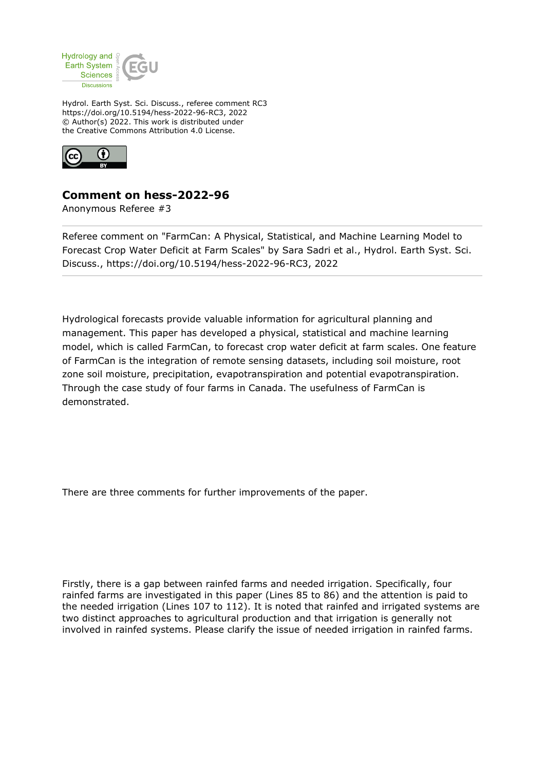

Hydrol. Earth Syst. Sci. Discuss., referee comment RC3 https://doi.org/10.5194/hess-2022-96-RC3, 2022 © Author(s) 2022. This work is distributed under the Creative Commons Attribution 4.0 License.



## **Comment on hess-2022-96**

Anonymous Referee #3

Referee comment on "FarmCan: A Physical, Statistical, and Machine Learning Model to Forecast Crop Water Deficit at Farm Scales" by Sara Sadri et al., Hydrol. Earth Syst. Sci. Discuss., https://doi.org/10.5194/hess-2022-96-RC3, 2022

Hydrological forecasts provide valuable information for agricultural planning and management. This paper has developed a physical, statistical and machine learning model, which is called FarmCan, to forecast crop water deficit at farm scales. One feature of FarmCan is the integration of remote sensing datasets, including soil moisture, root zone soil moisture, precipitation, evapotranspiration and potential evapotranspiration. Through the case study of four farms in Canada. The usefulness of FarmCan is demonstrated.

There are three comments for further improvements of the paper.

Firstly, there is a gap between rainfed farms and needed irrigation. Specifically, four rainfed farms are investigated in this paper (Lines 85 to 86) and the attention is paid to the needed irrigation (Lines 107 to 112). It is noted that rainfed and irrigated systems are two distinct approaches to agricultural production and that irrigation is generally not involved in rainfed systems. Please clarify the issue of needed irrigation in rainfed farms.